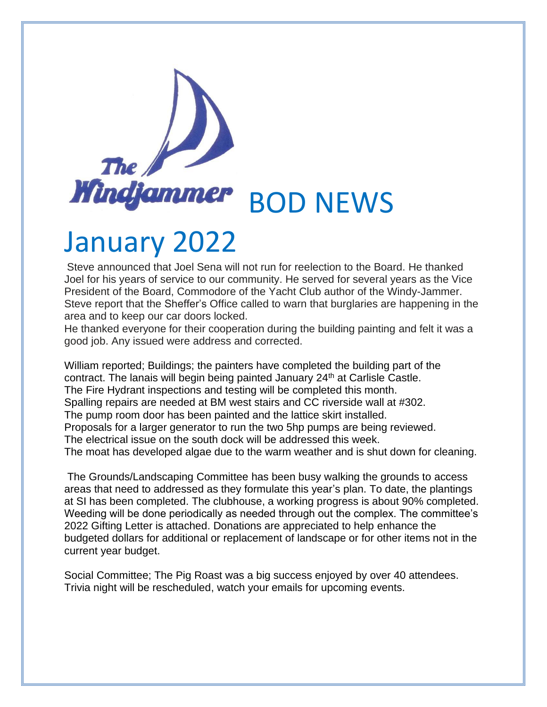

## January 2022

Steve announced that Joel Sena will not run for reelection to the Board. He thanked Joel for his years of service to our community. He served for several years as the Vice President of the Board, Commodore of the Yacht Club author of the Windy-Jammer. Steve report that the Sheffer's Office called to warn that burglaries are happening in the area and to keep our car doors locked.

He thanked everyone for their cooperation during the building painting and felt it was a good job. Any issued were address and corrected.

William reported; Buildings; the painters have completed the building part of the contract. The lanais will begin being painted January 24<sup>th</sup> at Carlisle Castle. The Fire Hydrant inspections and testing will be completed this month. Spalling repairs are needed at BM west stairs and CC riverside wall at #302. The pump room door has been painted and the lattice skirt installed. Proposals for a larger generator to run the two 5hp pumps are being reviewed. The electrical issue on the south dock will be addressed this week. The moat has developed algae due to the warm weather and is shut down for cleaning.

The Grounds/Landscaping Committee has been busy walking the grounds to access areas that need to addressed as they formulate this year's plan. To date, the plantings at SI has been completed. The clubhouse, a working progress is about 90% completed. Weeding will be done periodically as needed through out the complex. The committee's 2022 Gifting Letter is attached. Donations are appreciated to help enhance the budgeted dollars for additional or replacement of landscape or for other items not in the current year budget.

Social Committee; The Pig Roast was a big success enjoyed by over 40 attendees. Trivia night will be rescheduled, watch your emails for upcoming events.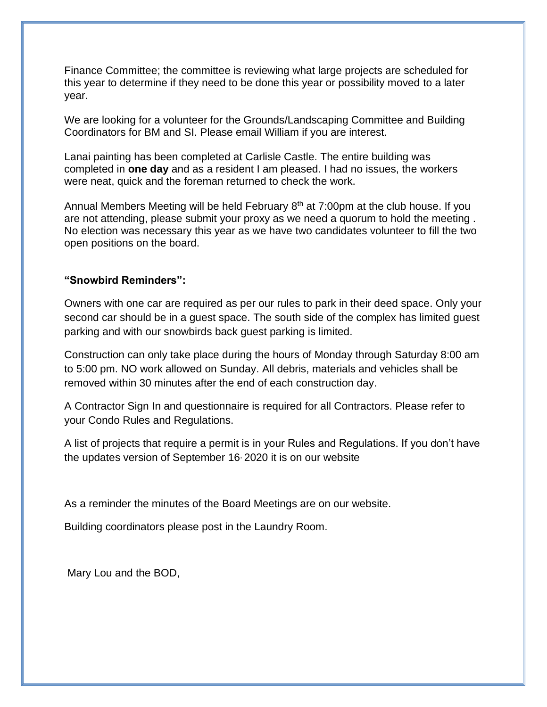Finance Committee; the committee is reviewing what large projects are scheduled for this year to determine if they need to be done this year or possibility moved to a later year.

We are looking for a volunteer for the Grounds/Landscaping Committee and Building Coordinators for BM and SI. Please email William if you are interest.

Lanai painting has been completed at Carlisle Castle. The entire building was completed in **one day** and as a resident I am pleased. I had no issues, the workers were neat, quick and the foreman returned to check the work.

Annual Members Meeting will be held February 8<sup>th</sup> at 7:00pm at the club house. If you are not attending, please submit your proxy as we need a quorum to hold the meeting . No election was necessary this year as we have two candidates volunteer to fill the two open positions on the board.

## **"Snowbird Reminders":**

Owners with one car are required as per our rules to park in their deed space. Only your second car should be in a guest space. The south side of the complex has limited guest parking and with our snowbirds back guest parking is limited.

Construction can only take place during the hours of Monday through Saturday 8:00 am to 5:00 pm. NO work allowed on Sunday. All debris, materials and vehicles shall be removed within 30 minutes after the end of each construction day.

A Contractor Sign In and questionnaire is required for all Contractors. Please refer to your Condo Rules and Regulations.

A list of projects that require a permit is in your Rules and Regulations. If you don't have the updates version of September 16, 2020 it is on our website

As a reminder the minutes of the Board Meetings are on our website.

Building coordinators please post in the Laundry Room.

Mary Lou and the BOD,